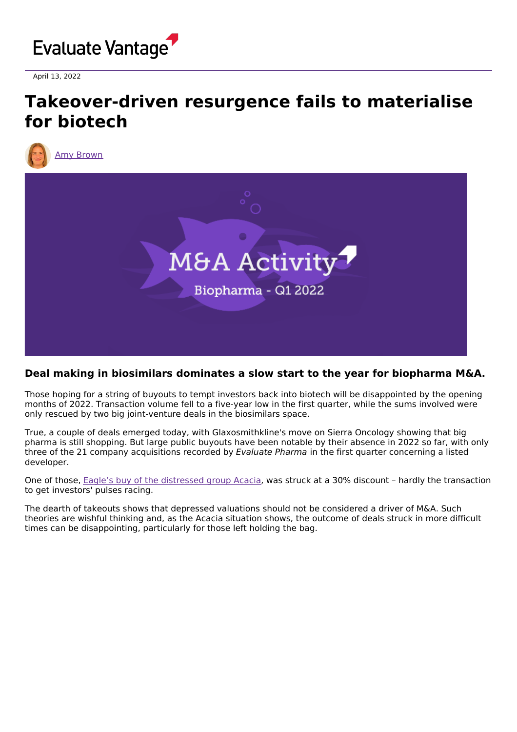

April 13, 2022

## **Takeover-driven resurgence fails to materialise for biotech**





## **Deal making in biosimilars dominates a slow start to the year for biopharma M&A.**

Those hoping for a string of buyouts to tempt investors back into biotech will be disappointed by the opening months of 2022. Transaction volume fell to a five-year low in the first quarter, while the sums involved were only rescued by two big joint-venture deals in the biosimilars space.

True, a couple of deals emerged today, with Glaxosmithkline's move on Sierra Oncology showing that big pharma is still shopping. But large public buyouts have been notable by their absence in 2022 so far, with only three of the 21 company acquisitions recorded by Evaluate Pharma in the first quarter concerning a listed developer.

One of those, Eagle's buy of the [distressed](https://www.evaluate.com/vantage/articles/news/deals/why-some-biotechs-should-never-launch-drug) group Acacia, was struck at a 30% discount – hardly the transaction to get investors' pulses racing.

The dearth of takeouts shows that depressed valuations should not be considered a driver of M&A. Such theories are wishful thinking and, as the Acacia situation shows, the outcome of deals struck in more difficult times can be disappointing, particularly for those left holding the bag.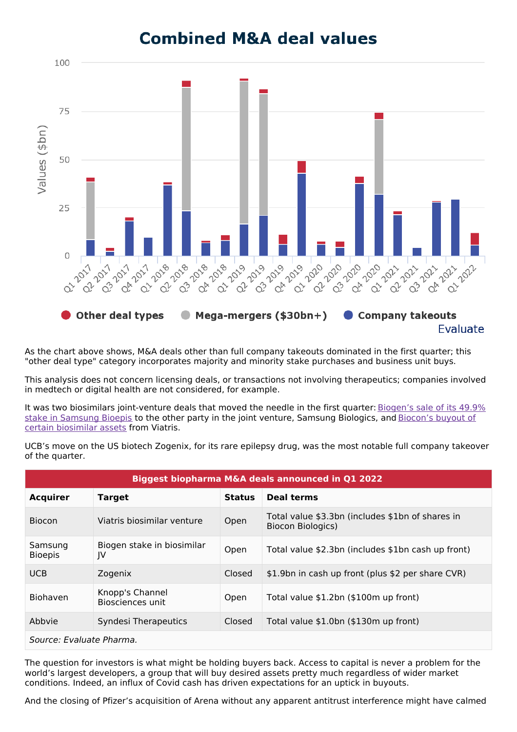

**Combined M&A deal values** 

As the chart above shows, M&A deals other than full company takeouts dominated in the first quarter; this "other deal type" category incorporates majority and minority stake purchases and business unit buys.

This analysis does not concern licensing deals, or transactions not involving therapeutics; companies involved in medtech or digital health are not considered, for example.

It was two biosimilars [joint-venture](https://www.evaluate.com/vantage/articles/news/deals-snippets/biogen-sells-its-bioepis-stake-bit-bit) deals that moved the needle in the first quarter: Biogen's sale of its 49.9% stake in Samsung Bioepis to the other party in the joint venture, Samsung [Biologics,](https://www.evaluate.com/vantage/articles/news/corporate-strategy-snippets/another-biosimilars-retreat-time-viatris) and Biocon's buyout of certain biosimilar assets from Viatris.

UCB's move on the US biotech Zogenix, for its rare epilepsy drug, was the most notable full company takeover of the quarter.

| Biggest biopharma M&A deals announced in Q1 2022 |                                     |               |                                                                              |
|--------------------------------------------------|-------------------------------------|---------------|------------------------------------------------------------------------------|
| <b>Acquirer</b>                                  | <b>Target</b>                       | <b>Status</b> | Deal terms                                                                   |
| <b>Biocon</b>                                    | Viatris biosimilar venture          | Open          | Total value \$3.3bn (includes \$1bn of shares in<br><b>Biocon Biologics)</b> |
| Samsung<br><b>Bioepis</b>                        | Biogen stake in biosimilar<br>IV    | Open          | Total value \$2.3bn (includes \$1bn cash up front)                           |
| <b>UCB</b>                                       | Zogenix                             | Closed        | \$1.9bn in cash up front (plus \$2 per share CVR)                            |
| <b>Biohaven</b>                                  | Knopp's Channel<br>Biosciences unit | Open          | Total value \$1.2bn (\$100m up front)                                        |
| Abbyie                                           | Syndesi Therapeutics                | Closed        | Total value \$1.0bn (\$130m up front)                                        |
| Source: Evaluate Pharma.                         |                                     |               |                                                                              |

The question for investors is what might be holding buyers back. Access to capital is never a problem for the world's largest developers, a group that will buy desired assets pretty much regardless of wider market conditions. Indeed, an influx of Covid cash has driven expectations for an uptick in buyouts.

And the closing of Pfizer's acquisition of Arena without any apparent antitrust interference might have calmed